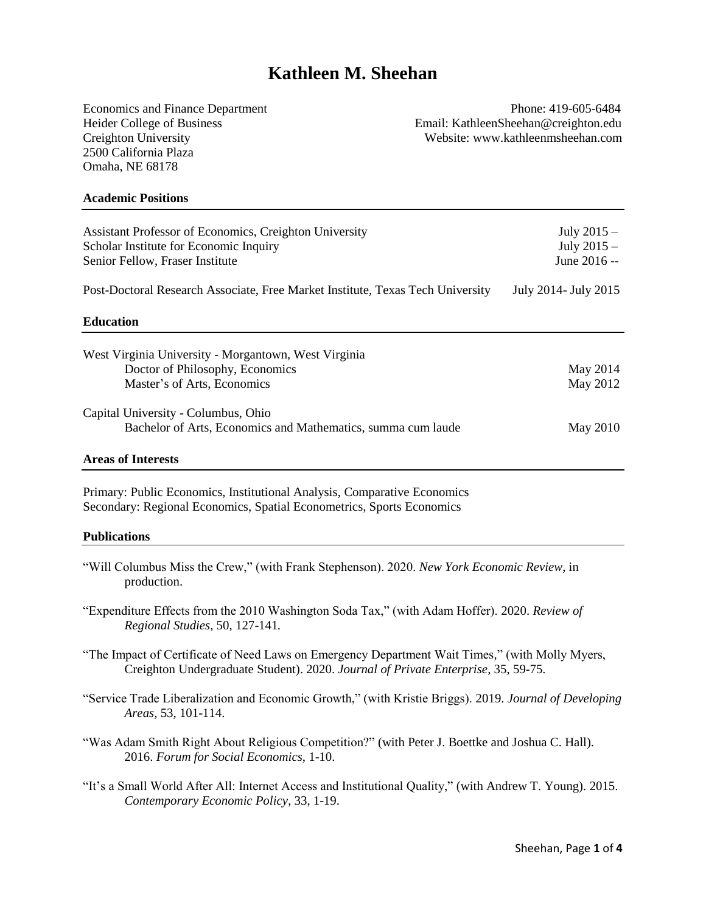# **Kathleen M. Sheehan**

2500 California Plaza Omaha, NE 68178

Economics and Finance Department Phone: 419-605-6484 Heider College of Business Email: KathleenSheehan@creighton.edu Creighton University Website: www.kathleenmsheehan.com

#### **Academic Positions**

| Assistant Professor of Economics, Creighton University<br>Scholar Institute for Economic Inquiry<br>Senior Fellow, Fraser Institute | July $2015 -$<br>July $2015 -$<br>June 2016 -- |
|-------------------------------------------------------------------------------------------------------------------------------------|------------------------------------------------|
| Post-Doctoral Research Associate, Free Market Institute, Texas Tech University                                                      | July 2014 - July 2015                          |
| <b>Education</b>                                                                                                                    |                                                |
| West Virginia University - Morgantown, West Virginia                                                                                |                                                |
| Doctor of Philosophy, Economics                                                                                                     | May 2014                                       |
| Master's of Arts, Economics                                                                                                         | May 2012                                       |
| Capital University - Columbus, Ohio                                                                                                 |                                                |
| Bachelor of Arts, Economics and Mathematics, summa cum laude                                                                        | May 2010                                       |
|                                                                                                                                     |                                                |

## **Areas of Interests**

Primary: Public Economics, Institutional Analysis, Comparative Economics Secondary: Regional Economics, Spatial Econometrics, Sports Economics

#### **Publications**

- "Will Columbus Miss the Crew," (with Frank Stephenson). 2020. *New York Economic Review*, in production.
- "Expenditure Effects from the 2010 Washington Soda Tax," (with Adam Hoffer). 2020. *Review of Regional Studies*, 50, 127-141*.*

"The Impact of Certificate of Need Laws on Emergency Department Wait Times," (with Molly Myers, Creighton Undergraduate Student). 2020. *Journal of Private Enterprise,* 35, 59-75.

- "Service Trade Liberalization and Economic Growth," (with Kristie Briggs). 2019. *Journal of Developing Areas*, 53, 101-114.
- "Was Adam Smith Right About Religious Competition?" (with Peter J. Boettke and Joshua C. Hall). 2016. *Forum for Social Economics*, 1-10.
- "It's a Small World After All: Internet Access and Institutional Quality," (with Andrew T. Young). 2015. *Contemporary Economic Policy*, 33, 1-19.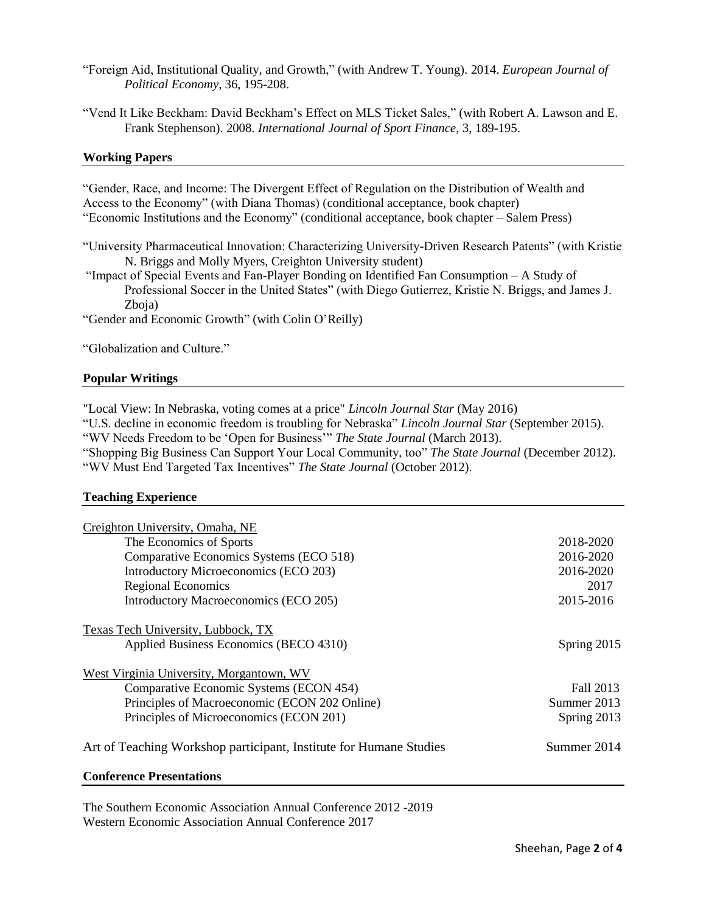- "Foreign Aid, Institutional Quality, and Growth," (with Andrew T. Young). 2014. *European Journal of Political Economy*, 36, 195-208.
- "Vend It Like Beckham: David Beckham's Effect on MLS Ticket Sales," (with Robert A. Lawson and E. Frank Stephenson). 2008. *International Journal of Sport Finance*, 3, 189-195.

## **Working Papers**

"Gender, Race, and Income: The Divergent Effect of Regulation on the Distribution of Wealth and Access to the Economy" (with Diana Thomas) (conditional acceptance, book chapter) "Economic Institutions and the Economy" (conditional acceptance, book chapter – Salem Press)

"University Pharmaceutical Innovation: Characterizing University-Driven Research Patents" (with Kristie N. Briggs and Molly Myers, Creighton University student)

"Impact of Special Events and Fan-Player Bonding on Identified Fan Consumption – A Study of Professional Soccer in the United States" (with Diego Gutierrez, Kristie N. Briggs, and James J. Zboja)

"Gender and Economic Growth" (with Colin O'Reilly)

"Globalization and Culture."

## **Popular Writings**

"Local View: In Nebraska, voting comes at a price" *Lincoln Journal Star* (May 2016)

"U.S. decline in economic freedom is troubling for Nebraska" *Lincoln Journal Star* (September 2015).

"WV Needs Freedom to be 'Open for Business'" *The State Journal* (March 2013).

"Shopping Big Business Can Support Your Local Community, too" *The State Journal* (December 2012). "WV Must End Targeted Tax Incentives" *The State Journal* (October 2012).

# **Teaching Experience**

| Creighton University, Omaha, NE                                    |             |
|--------------------------------------------------------------------|-------------|
| The Economics of Sports                                            | 2018-2020   |
| Comparative Economics Systems (ECO 518)                            | 2016-2020   |
| Introductory Microeconomics (ECO 203)                              | 2016-2020   |
| <b>Regional Economics</b>                                          | 2017        |
| Introductory Macroeconomics (ECO 205)                              | 2015-2016   |
| <b>Texas Tech University, Lubbock, TX</b>                          |             |
| Applied Business Economics (BECO 4310)                             | Spring 2015 |
| West Virginia University, Morgantown, WV                           |             |
| Comparative Economic Systems (ECON 454)                            | Fall 2013   |
| Principles of Macroeconomic (ECON 202 Online)                      | Summer 2013 |
| Principles of Microeconomics (ECON 201)                            | Spring 2013 |
| Art of Teaching Workshop participant, Institute for Humane Studies | Summer 2014 |
| <b>Conference Presentations</b>                                    |             |

The Southern Economic Association Annual Conference 2012 -2019 Western Economic Association Annual Conference 2017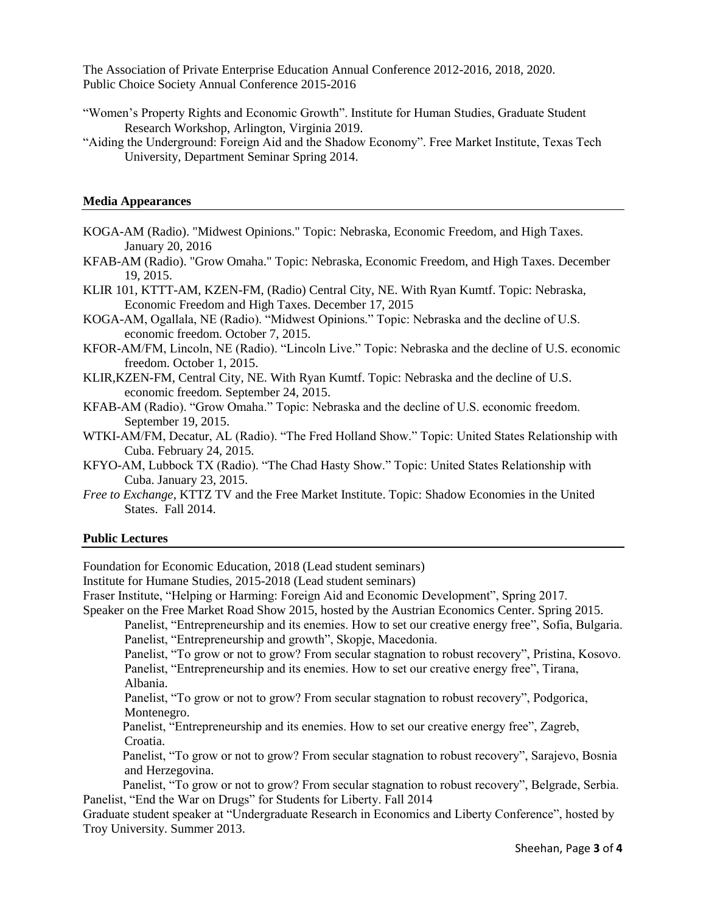The Association of Private Enterprise Education Annual Conference 2012-2016, 2018, 2020. Public Choice Society Annual Conference 2015-2016

- "Women's Property Rights and Economic Growth". Institute for Human Studies, Graduate Student Research Workshop, Arlington, Virginia 2019.
- "Aiding the Underground: Foreign Aid and the Shadow Economy". Free Market Institute, Texas Tech University, Department Seminar Spring 2014.

#### **Media Appearances**

- KOGA-AM (Radio). "Midwest Opinions." Topic: Nebraska, Economic Freedom, and High Taxes. January 20, 2016
- KFAB-AM (Radio). "Grow Omaha." Topic: Nebraska, Economic Freedom, and High Taxes. December 19, 2015.
- KLIR 101, KTTT-AM, KZEN-FM, (Radio) Central City, NE. With Ryan Kumtf. Topic: Nebraska, Economic Freedom and High Taxes. December 17, 2015
- KOGA-AM, Ogallala, NE (Radio). "Midwest Opinions." Topic: Nebraska and the decline of U.S. economic freedom. October 7, 2015.
- KFOR-AM/FM, Lincoln, NE (Radio). "Lincoln Live." Topic: Nebraska and the decline of U.S. economic freedom. October 1, 2015.
- KLIR,KZEN-FM, Central City, NE. With Ryan Kumtf. Topic: Nebraska and the decline of U.S. economic freedom. September 24, 2015.
- KFAB-AM (Radio). "Grow Omaha." Topic: Nebraska and the decline of U.S. economic freedom. September 19, 2015.
- WTKI-AM/FM, Decatur, AL (Radio). "The Fred Holland Show." Topic: United States Relationship with Cuba. February 24, 2015.
- KFYO-AM, Lubbock TX (Radio). "The Chad Hasty Show." Topic: United States Relationship with Cuba. January 23, 2015.
- *Free to Exchange*, KTTZ TV and the Free Market Institute. Topic: Shadow Economies in the United States. Fall 2014.

#### **Public Lectures**

Foundation for Economic Education, 2018 (Lead student seminars)

Institute for Humane Studies, 2015-2018 (Lead student seminars)

Fraser Institute, "Helping or Harming: Foreign Aid and Economic Development", Spring 2017.

Speaker on the Free Market Road Show 2015, hosted by the Austrian Economics Center. Spring 2015.

Panelist, "Entrepreneurship and its enemies. How to set our creative energy free", Sofia, Bulgaria. Panelist, "Entrepreneurship and growth", Skopje, Macedonia.

Panelist, "To grow or not to grow? From secular stagnation to robust recovery", Pristina, Kosovo. Panelist, "Entrepreneurship and its enemies. How to set our creative energy free", Tirana, Albania.

Panelist, "To grow or not to grow? From secular stagnation to robust recovery", Podgorica, Montenegro.

Panelist, "Entrepreneurship and its enemies. How to set our creative energy free", Zagreb, Croatia.

Panelist, "To grow or not to grow? From secular stagnation to robust recovery", Sarajevo, Bosnia and Herzegovina.

Panelist, "To grow or not to grow? From secular stagnation to robust recovery", Belgrade, Serbia. Panelist, "End the War on Drugs" for Students for Liberty. Fall 2014

Graduate student speaker at "Undergraduate Research in Economics and Liberty Conference", hosted by Troy University. Summer 2013.